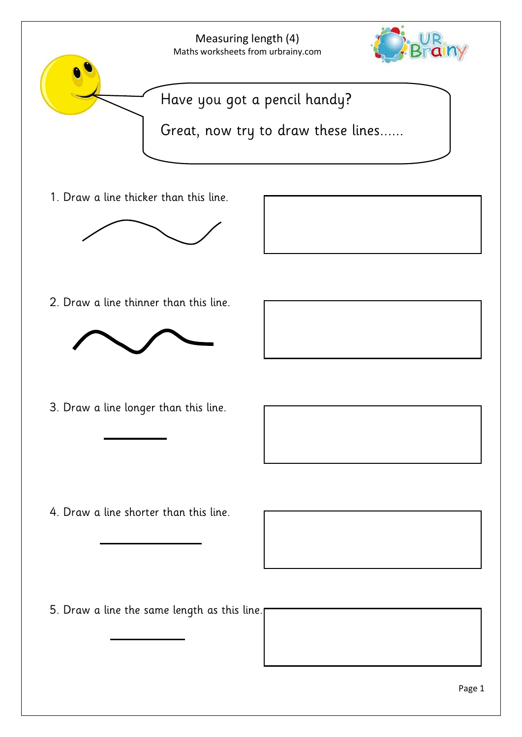

1. Draw a line thicker than this line.





2. Draw a line thinner than this line.



3. Draw a line longer than this line.

4. Draw a line shorter than this line.



5. Draw a line the same length as this line.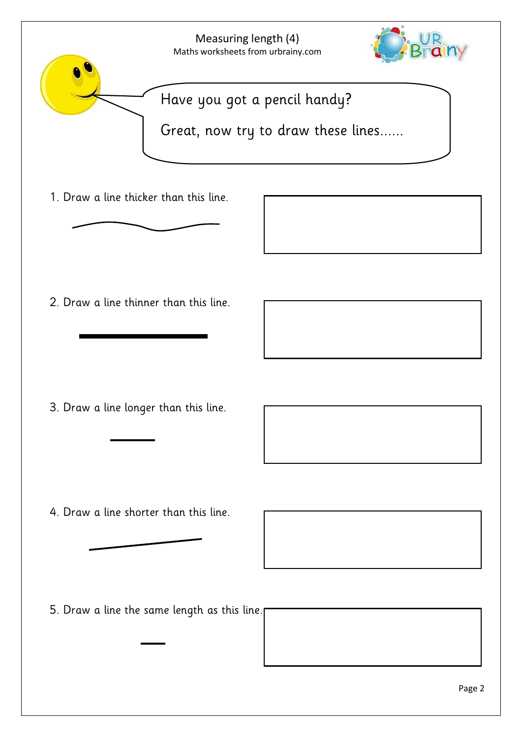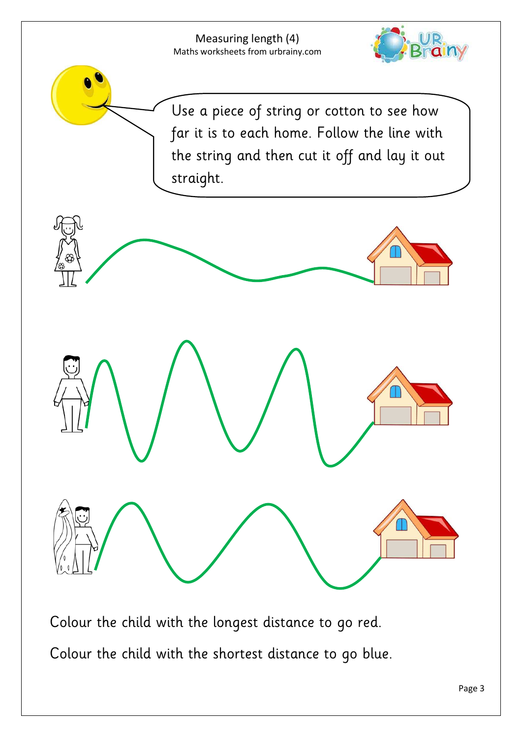Measuring length (4) Maths worksheets from urbrainy.com



Use a piece of string or cotton to see how far it is to each home. Follow the line with the string and then cut it off and lay it out straight.



Colour the child with the longest distance to go red. Colour the child with the shortest distance to go blue.